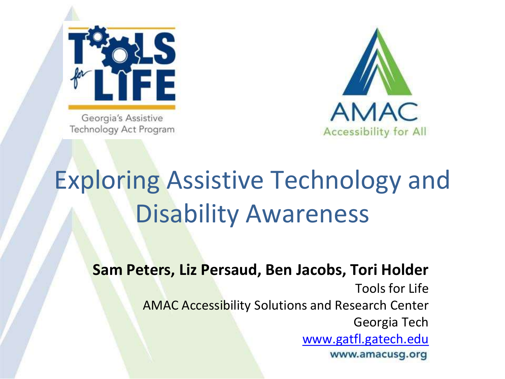

Georgia's Assistive Technology Act Program



### Exploring Assistive Technology and Disability Awareness

**Sam Peters, Liz Persaud, Ben Jacobs, Tori Holder**

Tools for Life AMAC Accessibility Solutions and Research Center Georgia Tech [www.gatfl.gatech.edu](http://www.gatfl.gatech.edu/)www.amacusg.org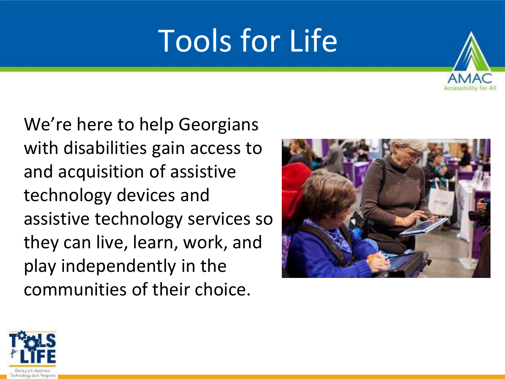# Tools for Life



We're here to help Georgians with disabilities gain access to and acquisition of assistive technology devices and assistive technology services so they can live, learn, work, and play independently in the communities of their choice.



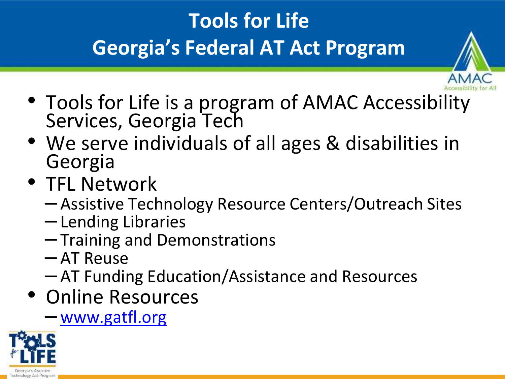### **Tools for Life Georgia's Federal AT Act Program**



- Tools for Life is a program of AMAC Accessibility Services, Georgia Tech
- We serve individuals of all ages & disabilities in Georgia
- TFL Network
	- Assistive Technology Resource Centers/Outreach Sites
	- Lending Libraries
	- Training and Demonstrations
	- AT Reuse
	- AT Funding Education/Assistance and Resources
- Online Resources
	- [www.gatfl.org](http://www.gatfl.org/)

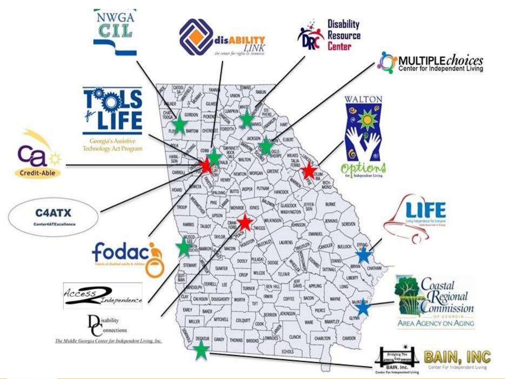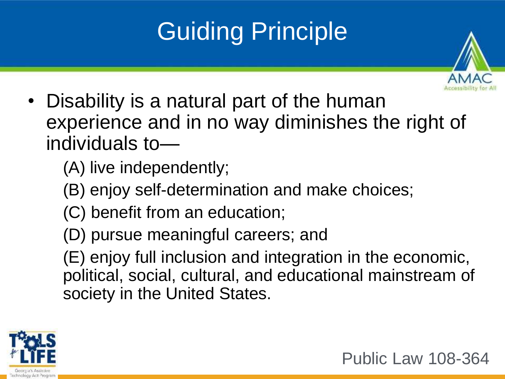### Guiding Principle



• Disability is a natural part of the human experience and in no way diminishes the right of individuals to—

(A) live independently;

- (B) enjoy self-determination and make choices;
- (C) benefit from an education;
- (D) pursue meaningful careers; and

(E) enjoy full inclusion and integration in the economic, political, social, cultural, and educational mainstream of society in the United States.



Public Law 108-364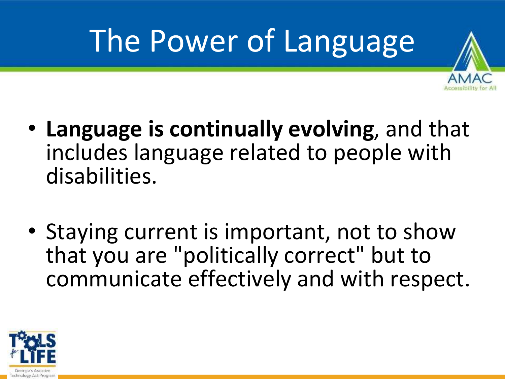# The Power of Language



- **Language is continually evolving**, and that includes language related to people with disabilities.
- Staying current is important, not to show that you are "politically correct" but to communicate effectively and with respect.

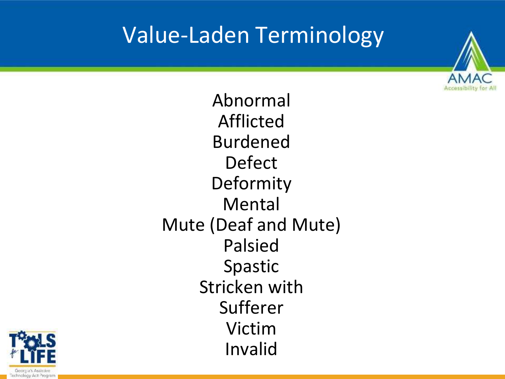### Value-Laden Terminology



Abnormal Afflicted Burdened Defect Deformity Mental Mute (Deaf and Mute) Palsied Spastic Stricken with Sufferer Victim Invalid

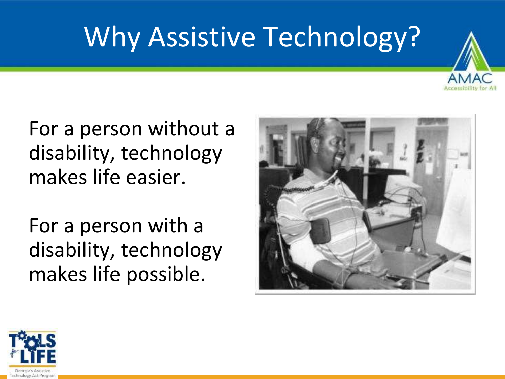## Why Assistive Technology?



#### For a person without a disability, technology makes life easier.

For a person with a disability, technology makes life possible.



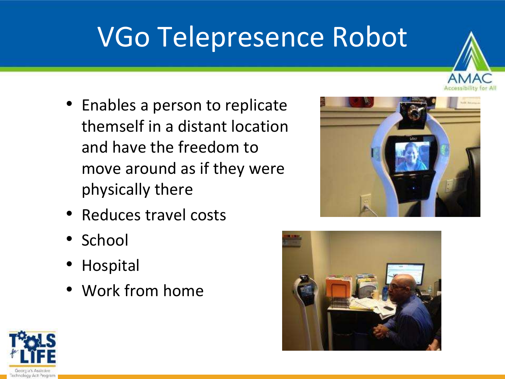## VGo Telepresence Robot

- Enables a person to replicate themself in a distant location and have the freedom to move around as if they were physically there
- Reduces travel costs
- School
- Hospital
- Work from home





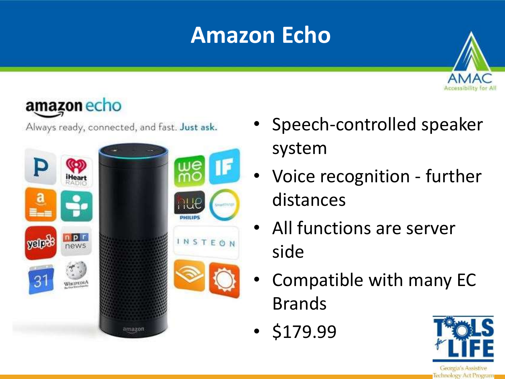### **Amazon Echo**



#### amazon echo

Always ready, connected, and fast. Just ask.



- Speech-controlled speaker system
- Voice recognition further distances
- All functions are server side
- Compatible with many EC Brands
- \$179.99

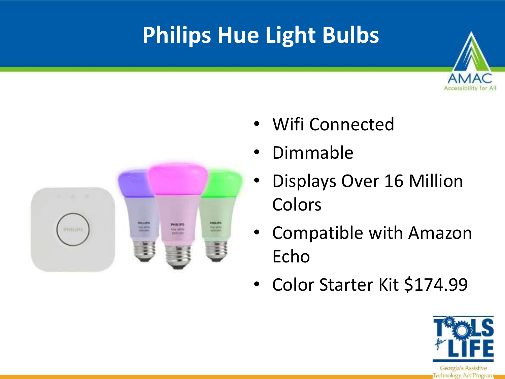### **Philips Hue Light Bulbs**





- Wifi Connected
- Dimmable
- Displays Over 16 Million Colors
- Compatible with Amazon Echo
- Color Starter Kit \$174.99

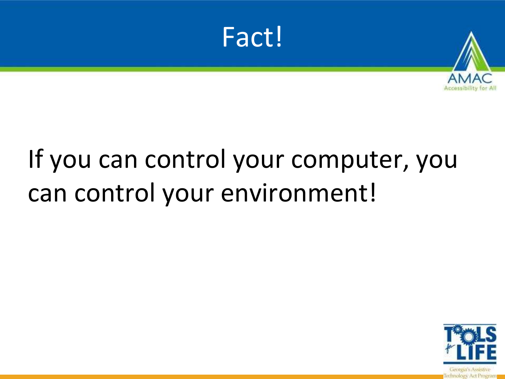



### If you can control your computer, you can control your environment!

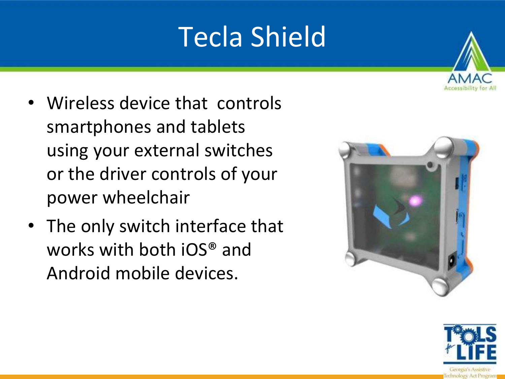## Tecla Shield

- Wireless device that controls smartphones and tablets using your external switches or the driver controls of your power wheelchair
- The only switch interface that works with both iOS® and Android mobile devices.



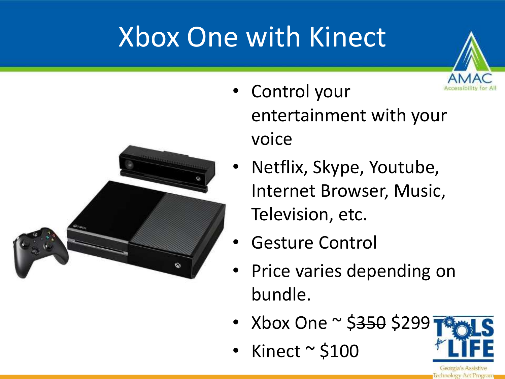# Xbox One with Kinect



- Control your entertainment with your voice
- Netflix, Skype, Youtube, Internet Browser, Music, Television, etc.
- Gesture Control
- Price varies depending on bundle.
- Xbox One ~ \$<del>350</del> \$299
- Kinect  $\sim$  \$100

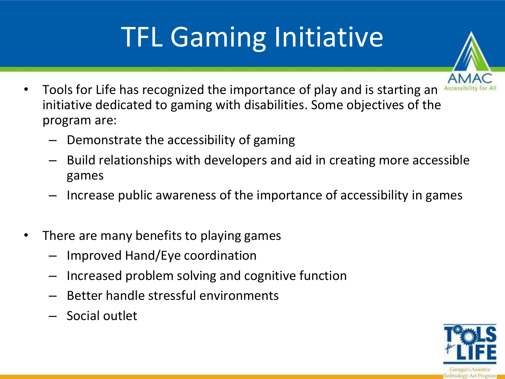# TFL Gaming Initiative

- 
- Tools for Life has recognized the importance of play and is starting an initiative dedicated to gaming with disabilities. Some objectives of the program are:
	- Demonstrate the accessibility of gaming
	- Build relationships with developers and aid in creating more accessible games
	- Increase public awareness of the importance of accessibility in games
- There are many benefits to playing games
	- Improved Hand/Eye coordination
	- Increased problem solving and cognitive function
	- Better handle stressful environments
	- Social outlet

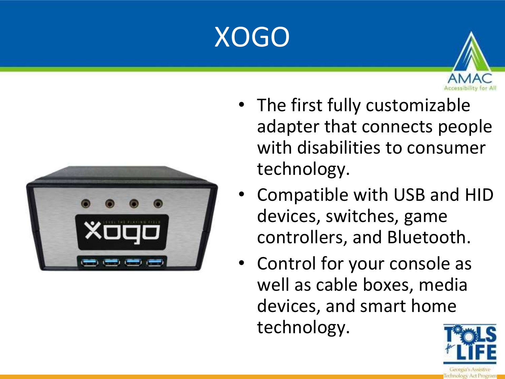## XOGO



- The first fully customizable adapter that connects people with disabilities to consumer technology.
- Compatible with USB and HID devices, switches, game controllers, and Bluetooth.
- Control for your console as well as cable boxes, media devices, and smart home technology.

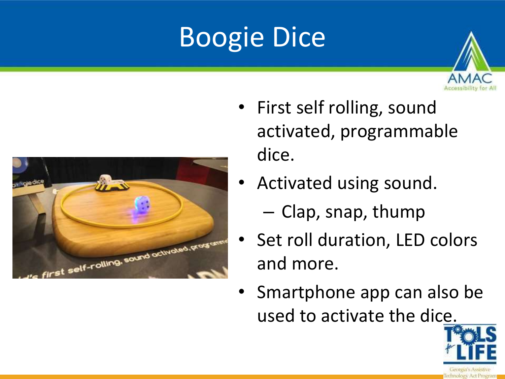# Boogie Dice





- First self rolling, sound activated, programmable dice.
- Activated using sound.
	- Clap, snap, thump
- Set roll duration, LED colors and more.
- Smartphone app can also be used to activate the dice.